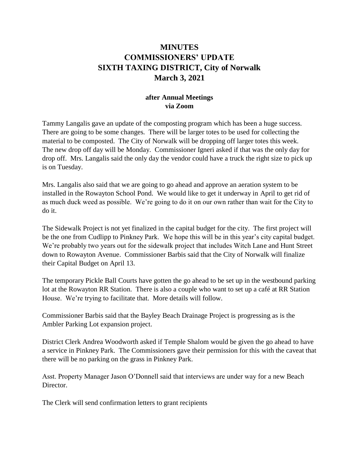## **MINUTES COMMISSIONERS' UPDATE SIXTH TAXING DISTRICT, City of Norwalk March 3, 2021**

## **after Annual Meetings via Zoom**

Tammy Langalis gave an update of the composting program which has been a huge success. There are going to be some changes. There will be larger totes to be used for collecting the material to be composted. The City of Norwalk will be dropping off larger totes this week. The new drop off day will be Monday. Commissioner Igneri asked if that was the only day for drop off. Mrs. Langalis said the only day the vendor could have a truck the right size to pick up is on Tuesday.

Mrs. Langalis also said that we are going to go ahead and approve an aeration system to be installed in the Rowayton School Pond. We would like to get it underway in April to get rid of as much duck weed as possible. We're going to do it on our own rather than wait for the City to do it.

The Sidewalk Project is not yet finalized in the capital budget for the city. The first project will be the one from Cudlipp to Pinkney Park. We hope this will be in this year's city capital budget. We're probably two years out for the sidewalk project that includes Witch Lane and Hunt Street down to Rowayton Avenue. Commissioner Barbis said that the City of Norwalk will finalize their Capital Budget on April 13.

The temporary Pickle Ball Courts have gotten the go ahead to be set up in the westbound parking lot at the Rowayton RR Station. There is also a couple who want to set up a café at RR Station House. We're trying to facilitate that. More details will follow.

Commissioner Barbis said that the Bayley Beach Drainage Project is progressing as is the Ambler Parking Lot expansion project.

District Clerk Andrea Woodworth asked if Temple Shalom would be given the go ahead to have a service in Pinkney Park. The Commissioners gave their permission for this with the caveat that there will be no parking on the grass in Pinkney Park.

Asst. Property Manager Jason O'Donnell said that interviews are under way for a new Beach Director.

The Clerk will send confirmation letters to grant recipients